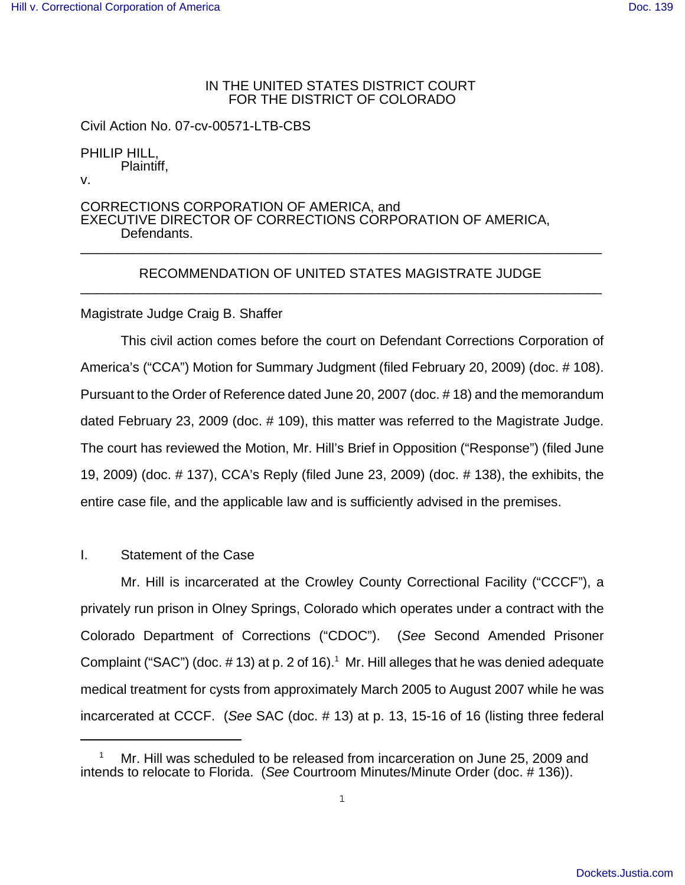## IN THE UNITED STATES DISTRICT COURT FOR THE DISTRICT OF COLORADO

Civil Action No. 07-cv-00571-LTB-CBS

PHILIP HILL, Plaintiff,

v.

CORRECTIONS CORPORATION OF AMERICA, and EXECUTIVE DIRECTOR OF CORRECTIONS CORPORATION OF AMERICA, Defendants. \_\_\_\_\_\_\_\_\_\_\_\_\_\_\_\_\_\_\_\_\_\_\_\_\_\_\_\_\_\_\_\_\_\_\_\_\_\_\_\_\_\_\_\_\_\_\_\_\_\_\_\_\_\_\_\_\_\_\_\_\_\_\_\_\_\_\_\_\_\_

### RECOMMENDATION OF UNITED STATES MAGISTRATE JUDGE \_\_\_\_\_\_\_\_\_\_\_\_\_\_\_\_\_\_\_\_\_\_\_\_\_\_\_\_\_\_\_\_\_\_\_\_\_\_\_\_\_\_\_\_\_\_\_\_\_\_\_\_\_\_\_\_\_\_\_\_\_\_\_\_\_\_\_\_\_\_

# Magistrate Judge Craig B. Shaffer

This civil action comes before the court on Defendant Corrections Corporation of America's ("CCA") Motion for Summary Judgment (filed February 20, 2009) (doc. # 108). Pursuant to the Order of Reference dated June 20, 2007 (doc. # 18) and the memorandum dated February 23, 2009 (doc. # 109), this matter was referred to the Magistrate Judge. The court has reviewed the Motion, Mr. Hill's Brief in Opposition ("Response") (filed June 19, 2009) (doc. # 137), CCA's Reply (filed June 23, 2009) (doc. # 138), the exhibits, the entire case file, and the applicable law and is sufficiently advised in the premises.

## I. Statement of the Case

Mr. Hill is incarcerated at the Crowley County Correctional Facility ("CCCF"), a privately run prison in Olney Springs, Colorado which operates under a contract with the Colorado Department of Corrections ("CDOC"). (*See* Second Amended Prisoner Complaint ("SAC") (doc.  $\#$  13) at p. 2 of 16).<sup>1</sup> Mr. Hill alleges that he was denied adequate medical treatment for cysts from approximately March 2005 to August 2007 while he was incarcerated at CCCF. (*See* SAC (doc. # 13) at p. 13, 15-16 of 16 (listing three federal

<sup>1</sup> Mr. Hill was scheduled to be released from incarceration on June 25, 2009 and intends to relocate to Florida. (*See* Courtroom Minutes/Minute Order (doc. # 136)).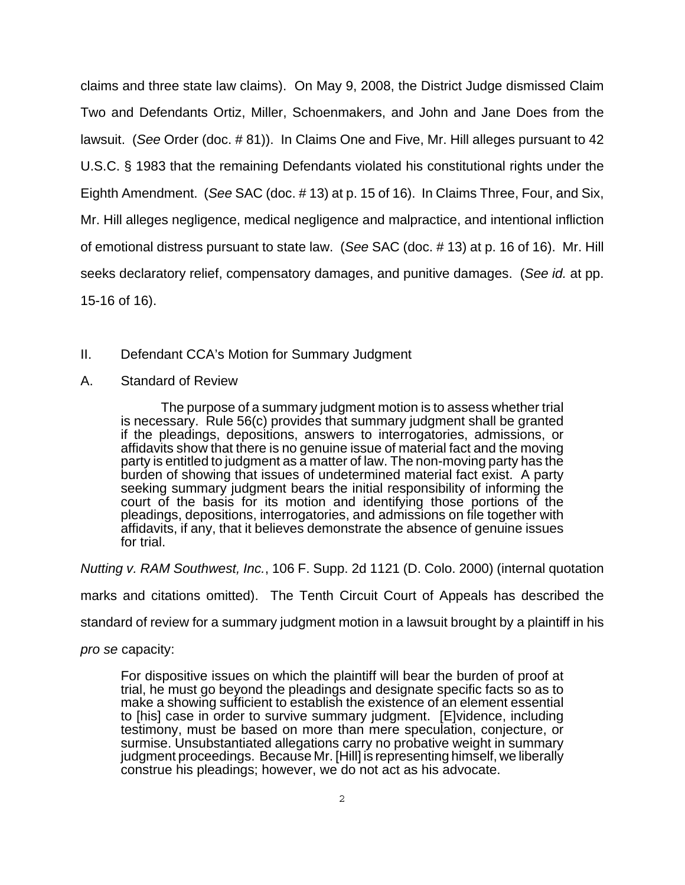claims and three state law claims). On May 9, 2008, the District Judge dismissed Claim Two and Defendants Ortiz, Miller, Schoenmakers, and John and Jane Does from the lawsuit. (*See* Order (doc. # 81)). In Claims One and Five, Mr. Hill alleges pursuant to 42 U.S.C. § 1983 that the remaining Defendants violated his constitutional rights under the Eighth Amendment. (*See* SAC (doc. # 13) at p. 15 of 16). In Claims Three, Four, and Six, Mr. Hill alleges negligence, medical negligence and malpractice, and intentional infliction of emotional distress pursuant to state law. (*See* SAC (doc. # 13) at p. 16 of 16). Mr. Hill seeks declaratory relief, compensatory damages, and punitive damages. (*See id.* at pp. 15-16 of 16).

# II. Defendant CCA's Motion for Summary Judgment

A. Standard of Review

The purpose of a summary judgment motion is to assess whether trial is necessary. Rule 56(c) provides that summary judgment shall be granted if the pleadings, depositions, answers to interrogatories, admissions, or affidavits show that there is no genuine issue of material fact and the moving party is entitled to judgment as a matter of law. The non-moving party has the burden of showing that issues of undetermined material fact exist. A party seeking summary judgment bears the initial responsibility of informing the court of the basis for its motion and identifying those portions of the pleadings, depositions, interrogatories, and admissions on file together with affidavits, if any, that it believes demonstrate the absence of genuine issues for trial.

*Nutting v. RAM Southwest, Inc.*, 106 F. Supp. 2d 1121 (D. Colo. 2000) (internal quotation

marks and citations omitted). The Tenth Circuit Court of Appeals has described the

standard of review for a summary judgment motion in a lawsuit brought by a plaintiff in his

*pro se* capacity:

For dispositive issues on which the plaintiff will bear the burden of proof at trial, he must go beyond the pleadings and designate specific facts so as to make a showing sufficient to establish the existence of an element essential to [his] case in order to survive summary judgment. [E]vidence, including testimony, must be based on more than mere speculation, conjecture, or surmise. Unsubstantiated allegations carry no probative weight in summary judgment proceedings. Because Mr. [Hill] is representing himself, we liberally construe his pleadings; however, we do not act as his advocate.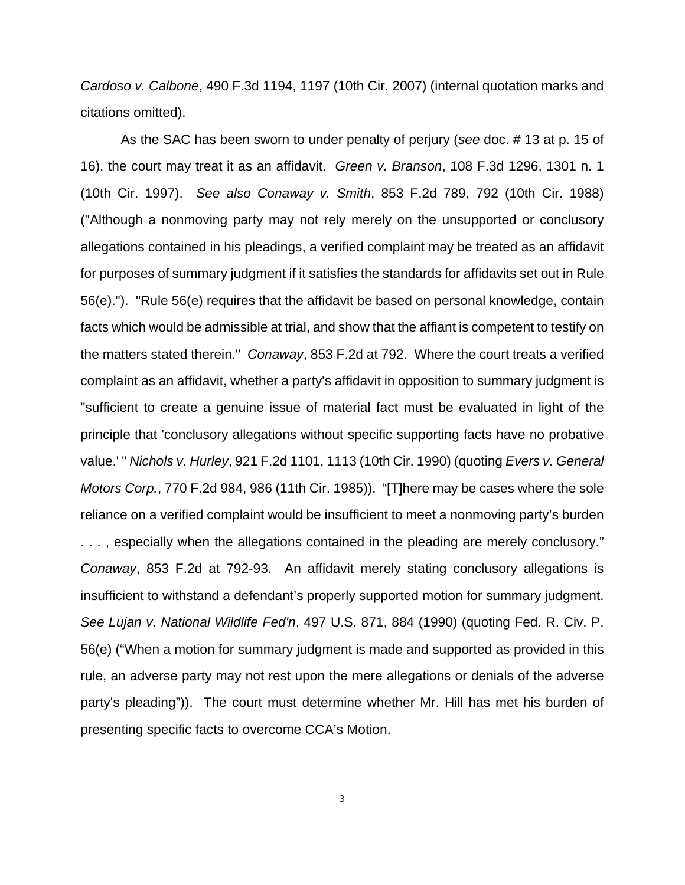*Cardoso v. Calbone*, 490 F.3d 1194, 1197 (10th Cir. 2007) (internal quotation marks and citations omitted).

As the SAC has been sworn to under penalty of perjury (*see* doc. # 13 at p. 15 of 16), the court may treat it as an affidavit. *Green v. Branson*, 108 F.3d 1296, 1301 n. 1 (10th Cir. 1997). *See also Conaway v. Smith*, 853 F.2d 789, 792 (10th Cir. 1988) ("Although a nonmoving party may not rely merely on the unsupported or conclusory allegations contained in his pleadings, a verified complaint may be treated as an affidavit for purposes of summary judgment if it satisfies the standards for affidavits set out in Rule 56(e)."). "Rule 56(e) requires that the affidavit be based on personal knowledge, contain facts which would be admissible at trial, and show that the affiant is competent to testify on the matters stated therein." *Conaway*, 853 F.2d at 792. Where the court treats a verified complaint as an affidavit, whether a party's affidavit in opposition to summary judgment is "sufficient to create a genuine issue of material fact must be evaluated in light of the principle that 'conclusory allegations without specific supporting facts have no probative value.' " *Nichols v. Hurley*, 921 F.2d 1101, 1113 (10th Cir. 1990) (quoting *Evers v. General Motors Corp.*, 770 F.2d 984, 986 (11th Cir. 1985)). "[T]here may be cases where the sole reliance on a verified complaint would be insufficient to meet a nonmoving party's burden . . . , especially when the allegations contained in the pleading are merely conclusory." *Conaway*, 853 F.2d at 792-93. An affidavit merely stating conclusory allegations is insufficient to withstand a defendant's properly supported motion for summary judgment. *See Lujan v. National Wildlife Fed'n*, 497 U.S. 871, 884 (1990) (quoting Fed. R. Civ. P. 56(e) ("When a motion for summary judgment is made and supported as provided in this rule, an adverse party may not rest upon the mere allegations or denials of the adverse party's pleading")). The court must determine whether Mr. Hill has met his burden of presenting specific facts to overcome CCA's Motion.

3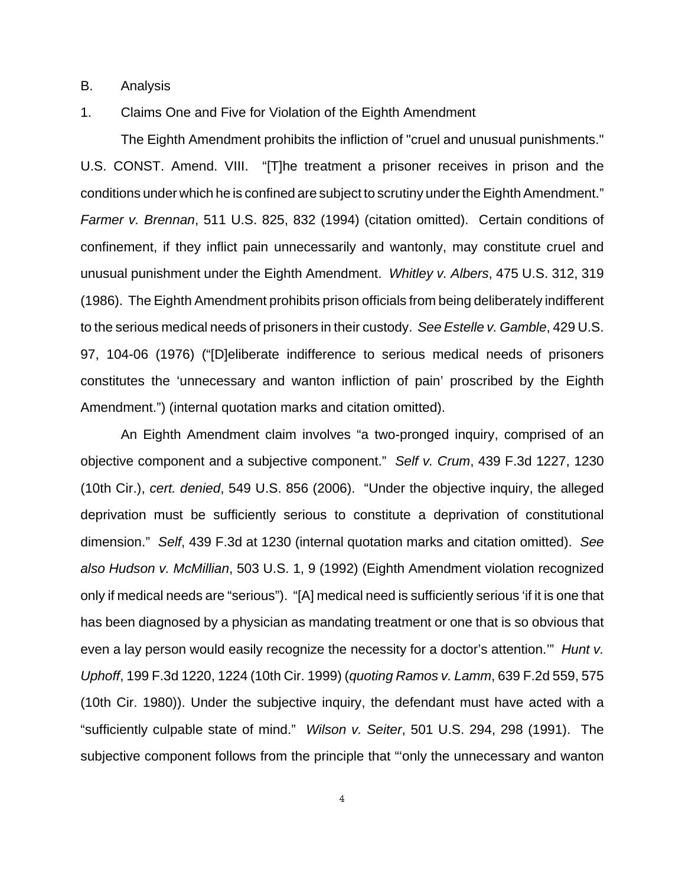B. Analysis

1. Claims One and Five for Violation of the Eighth Amendment

The Eighth Amendment prohibits the infliction of "cruel and unusual punishments." U.S. CONST. Amend. VIII. "[T]he treatment a prisoner receives in prison and the conditions under which he is confined are subject to scrutiny under the Eighth Amendment." *Farmer v. Brennan*, 511 U.S. 825, 832 (1994) (citation omitted). Certain conditions of confinement, if they inflict pain unnecessarily and wantonly, may constitute cruel and unusual punishment under the Eighth Amendment. *Whitley v. Albers*, 475 U.S. 312, 319 (1986). The Eighth Amendment prohibits prison officials from being deliberately indifferent to the serious medical needs of prisoners in their custody. *See Estelle v. Gamble*, 429 U.S. 97, 104-06 (1976) ("[D]eliberate indifference to serious medical needs of prisoners constitutes the 'unnecessary and wanton infliction of pain' proscribed by the Eighth Amendment.") (internal quotation marks and citation omitted).

An Eighth Amendment claim involves "a two-pronged inquiry, comprised of an objective component and a subjective component." *Self v. Crum*, 439 F.3d 1227, 1230 (10th Cir.), *cert. denied*, 549 U.S. 856 (2006). "Under the objective inquiry, the alleged deprivation must be sufficiently serious to constitute a deprivation of constitutional dimension." *Self*, 439 F.3d at 1230 (internal quotation marks and citation omitted). *See also Hudson v. McMillian*, 503 U.S. 1, 9 (1992) (Eighth Amendment violation recognized only if medical needs are "serious"). "[A] medical need is sufficiently serious 'if it is one that has been diagnosed by a physician as mandating treatment or one that is so obvious that even a lay person would easily recognize the necessity for a doctor's attention.'" *Hunt v. Uphoff*, 199 F.3d 1220, 1224 (10th Cir. 1999) (*quoting Ramos v. Lamm*, 639 F.2d 559, 575 (10th Cir. 1980)). Under the subjective inquiry, the defendant must have acted with a "sufficiently culpable state of mind." *Wilson v. Seiter*, 501 U.S. 294, 298 (1991). The subjective component follows from the principle that "'only the unnecessary and wanton

4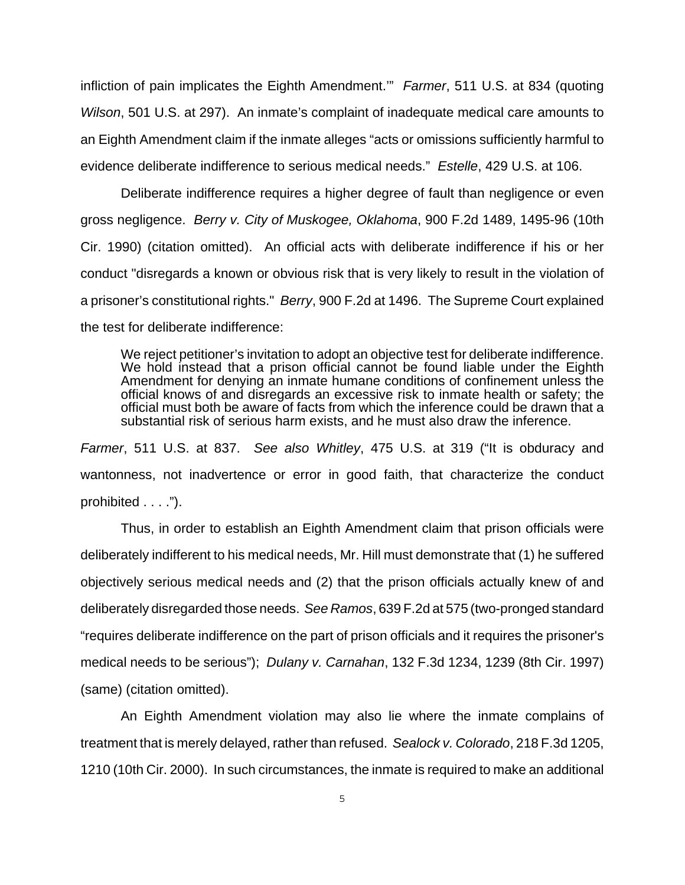infliction of pain implicates the Eighth Amendment.'" *Farmer*, 511 U.S. at 834 (quoting *Wilson*, 501 U.S. at 297). An inmate's complaint of inadequate medical care amounts to an Eighth Amendment claim if the inmate alleges "acts or omissions sufficiently harmful to evidence deliberate indifference to serious medical needs." *Estelle*, 429 U.S. at 106.

Deliberate indifference requires a higher degree of fault than negligence or even gross negligence. *Berry v. City of Muskogee, Oklahoma*, 900 F.2d 1489, 1495-96 (10th Cir. 1990) (citation omitted). An official acts with deliberate indifference if his or her conduct "disregards a known or obvious risk that is very likely to result in the violation of a prisoner's constitutional rights." *Berry*, 900 F.2d at 1496. The Supreme Court explained the test for deliberate indifference:

We reject petitioner's invitation to adopt an objective test for deliberate indifference. We hold instead that a prison official cannot be found liable under the Eighth Amendment for denying an inmate humane conditions of confinement unless the official knows of and disregards an excessive risk to inmate health or safety; the official must both be aware of facts from which the inference could be drawn that a substantial risk of serious harm exists, and he must also draw the inference.

*Farmer*, 511 U.S. at 837. *See also Whitley*, 475 U.S. at 319 ("It is obduracy and wantonness, not inadvertence or error in good faith, that characterize the conduct prohibited . . . .").

Thus, in order to establish an Eighth Amendment claim that prison officials were deliberately indifferent to his medical needs, Mr. Hill must demonstrate that (1) he suffered objectively serious medical needs and (2) that the prison officials actually knew of and deliberately disregarded those needs. *See Ramos*, 639 F.2d at 575 (two-pronged standard "requires deliberate indifference on the part of prison officials and it requires the prisoner's medical needs to be serious"); *Dulany v. Carnahan*, 132 F.3d 1234, 1239 (8th Cir. 1997) (same) (citation omitted).

An Eighth Amendment violation may also lie where the inmate complains of treatment that is merely delayed, rather than refused. *Sealock v. Colorado*, 218 F.3d 1205, 1210 (10th Cir. 2000). In such circumstances, the inmate is required to make an additional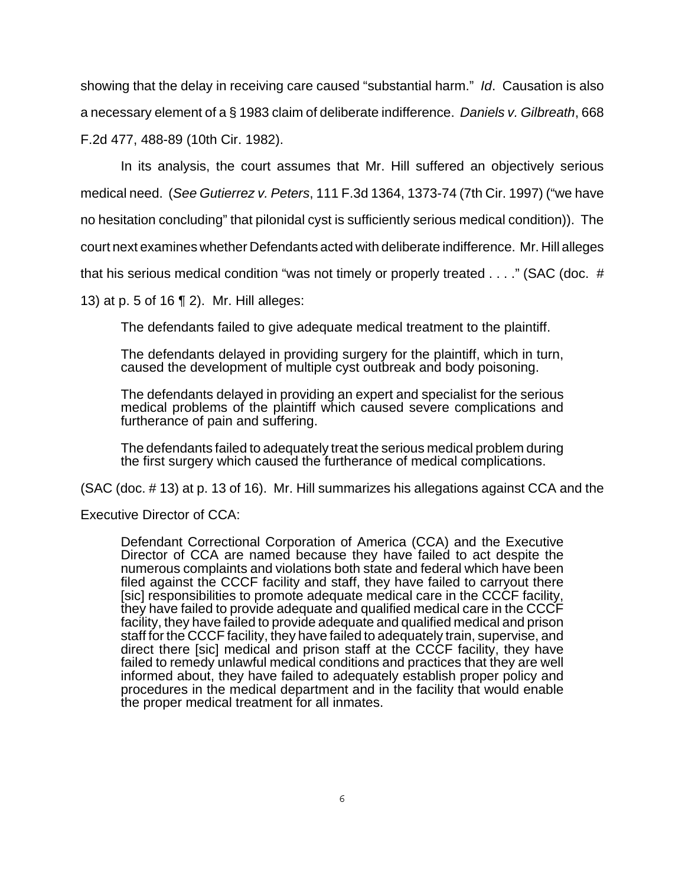showing that the delay in receiving care caused "substantial harm." *Id*. Causation is also a necessary element of a § 1983 claim of deliberate indifference. *Daniels v. Gilbreath*, 668 F.2d 477, 488-89 (10th Cir. 1982).

In its analysis, the court assumes that Mr. Hill suffered an objectively serious medical need. (*See Gutierrez v. Peters*, 111 F.3d 1364, 1373-74 (7th Cir. 1997) ("we have no hesitation concluding" that pilonidal cyst is sufficiently serious medical condition)). The court next examines whether Defendants acted with deliberate indifference. Mr. Hill alleges that his serious medical condition "was not timely or properly treated . . . ." (SAC (doc. #

13) at p. 5 of 16 ¶ 2). Mr. Hill alleges:

The defendants failed to give adequate medical treatment to the plaintiff.

The defendants delayed in providing surgery for the plaintiff, which in turn, caused the development of multiple cyst outbreak and body poisoning.

The defendants delayed in providing an expert and specialist for the serious medical problems of the plaintiff which caused severe complications and furtherance of pain and suffering.

The defendants failed to adequately treat the serious medical problem during the first surgery which caused the furtherance of medical complications.

(SAC (doc. # 13) at p. 13 of 16). Mr. Hill summarizes his allegations against CCA and the

Executive Director of CCA:

Defendant Correctional Corporation of America (CCA) and the Executive Director of CCA are named because they have failed to act despite the numerous complaints and violations both state and federal which have been filed against the CCCF facility and staff, they have failed to carryout there [sic] responsibilities to promote adequate medical care in the CCCF facility, they have failed to provide adequate and qualified medical care in the CCCF facility, they have failed to provide adequate and qualified medical and prison staff for the CCCF facility, they have failed to adequately train, supervise, and direct there [sic] medical and prison staff at the CCCF facility, they have failed to remedy unlawful medical conditions and practices that they are well informed about, they have failed to adequately establish proper policy and procedures in the medical department and in the facility that would enable the proper medical treatment for all inmates.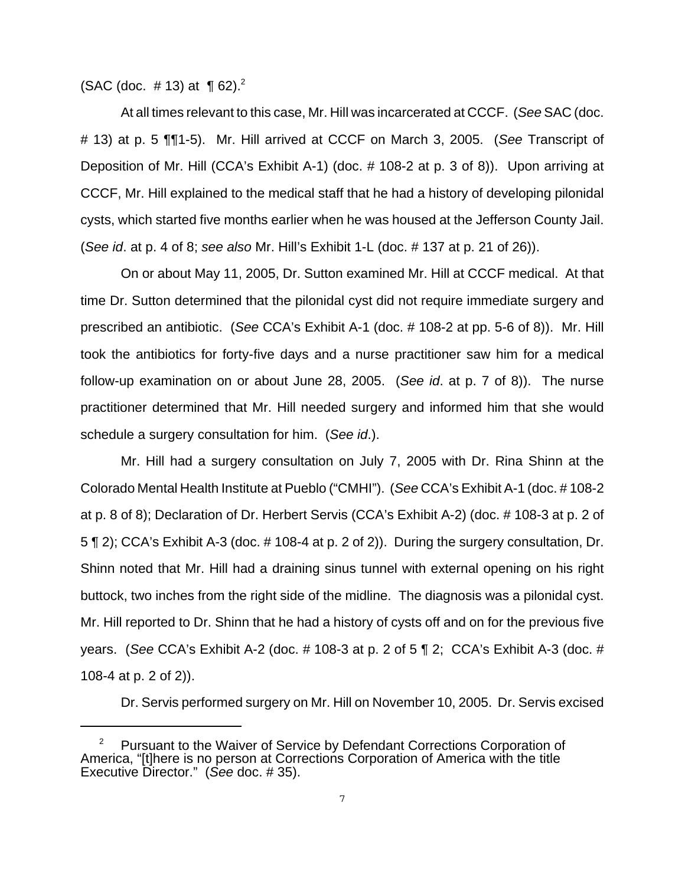(SAC (doc.  $\#$  13) at ¶ 62).<sup>2</sup>

At all times relevant to this case, Mr. Hill was incarcerated at CCCF. (*See* SAC (doc. # 13) at p. 5 ¶¶1-5). Mr. Hill arrived at CCCF on March 3, 2005. (*See* Transcript of Deposition of Mr. Hill (CCA's Exhibit A-1) (doc. # 108-2 at p. 3 of 8)). Upon arriving at CCCF, Mr. Hill explained to the medical staff that he had a history of developing pilonidal cysts, which started five months earlier when he was housed at the Jefferson County Jail. (*See id*. at p. 4 of 8; *see also* Mr. Hill's Exhibit 1-L (doc. # 137 at p. 21 of 26)).

On or about May 11, 2005, Dr. Sutton examined Mr. Hill at CCCF medical. At that time Dr. Sutton determined that the pilonidal cyst did not require immediate surgery and prescribed an antibiotic. (*See* CCA's Exhibit A-1 (doc. # 108-2 at pp. 5-6 of 8)). Mr. Hill took the antibiotics for forty-five days and a nurse practitioner saw him for a medical follow-up examination on or about June 28, 2005. (*See id*. at p. 7 of 8)). The nurse practitioner determined that Mr. Hill needed surgery and informed him that she would schedule a surgery consultation for him. (*See id*.).

Mr. Hill had a surgery consultation on July 7, 2005 with Dr. Rina Shinn at the Colorado Mental Health Institute at Pueblo ("CMHI"). (*See* CCA's Exhibit A-1 (doc. # 108-2 at p. 8 of 8); Declaration of Dr. Herbert Servis (CCA's Exhibit A-2) (doc. # 108-3 at p. 2 of 5 ¶ 2); CCA's Exhibit A-3 (doc. # 108-4 at p. 2 of 2)). During the surgery consultation, Dr. Shinn noted that Mr. Hill had a draining sinus tunnel with external opening on his right buttock, two inches from the right side of the midline. The diagnosis was a pilonidal cyst. Mr. Hill reported to Dr. Shinn that he had a history of cysts off and on for the previous five years. (*See* CCA's Exhibit A-2 (doc. # 108-3 at p. 2 of 5 ¶ 2; CCA's Exhibit A-3 (doc. # 108-4 at p. 2 of 2)).

Dr. Servis performed surgery on Mr. Hill on November 10, 2005. Dr. Servis excised

<sup>&</sup>lt;sup>2</sup> Pursuant to the Waiver of Service by Defendant Corrections Corporation of America, "[t]here is no person at Corrections Corporation of America with the title Executive Director." (*See* doc. # 35).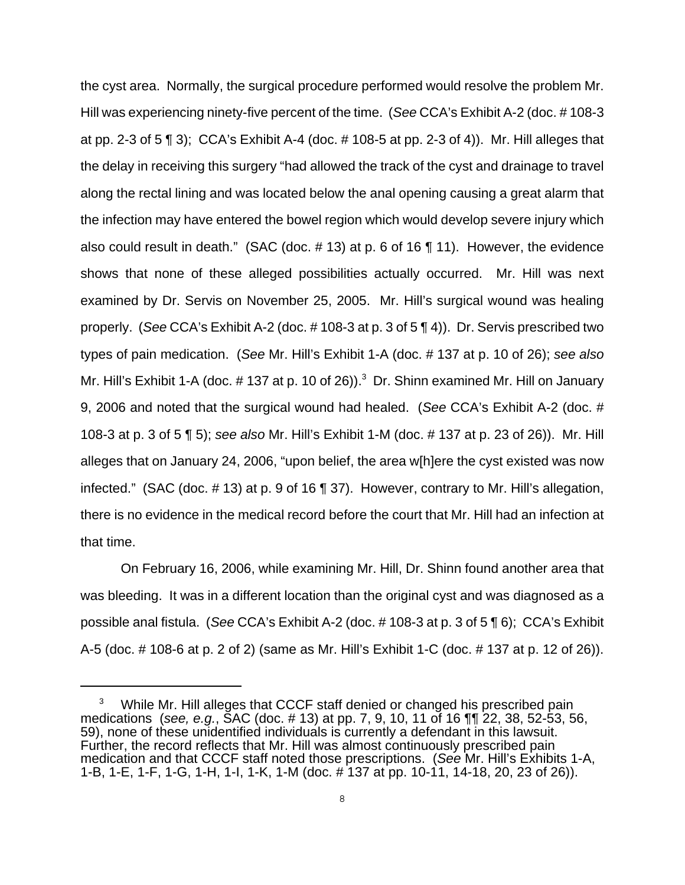the cyst area. Normally, the surgical procedure performed would resolve the problem Mr. Hill was experiencing ninety-five percent of the time. (*See* CCA's Exhibit A-2 (doc. # 108-3 at pp. 2-3 of 5 ¶ 3); CCA's Exhibit A-4 (doc. # 108-5 at pp. 2-3 of 4)). Mr. Hill alleges that the delay in receiving this surgery "had allowed the track of the cyst and drainage to travel along the rectal lining and was located below the anal opening causing a great alarm that the infection may have entered the bowel region which would develop severe injury which also could result in death." (SAC (doc. # 13) at p. 6 of 16 ¶ 11). However, the evidence shows that none of these alleged possibilities actually occurred. Mr. Hill was next examined by Dr. Servis on November 25, 2005. Mr. Hill's surgical wound was healing properly. (*See* CCA's Exhibit A-2 (doc. # 108-3 at p. 3 of 5 ¶ 4)). Dr. Servis prescribed two types of pain medication. (*See* Mr. Hill's Exhibit 1-A (doc. # 137 at p. 10 of 26); *see also* Mr. Hill's Exhibit 1-A (doc.  $\#$  137 at p. 10 of 26)).<sup>3</sup> Dr. Shinn examined Mr. Hill on January 9, 2006 and noted that the surgical wound had healed. (*See* CCA's Exhibit A-2 (doc. # 108-3 at p. 3 of 5 ¶ 5); *see also* Mr. Hill's Exhibit 1-M (doc. # 137 at p. 23 of 26)). Mr. Hill alleges that on January 24, 2006, "upon belief, the area w[h]ere the cyst existed was now infected." (SAC (doc. # 13) at p. 9 of 16 ¶ 37). However, contrary to Mr. Hill's allegation, there is no evidence in the medical record before the court that Mr. Hill had an infection at that time.

On February 16, 2006, while examining Mr. Hill, Dr. Shinn found another area that was bleeding. It was in a different location than the original cyst and was diagnosed as a possible anal fistula. (*See* CCA's Exhibit A-2 (doc. # 108-3 at p. 3 of 5 ¶ 6); CCA's Exhibit A-5 (doc. # 108-6 at p. 2 of 2) (same as Mr. Hill's Exhibit 1-C (doc. # 137 at p. 12 of 26)).

While Mr. Hill alleges that CCCF staff denied or changed his prescribed pain medications (*see, e.g.*, SAC (doc. # 13) at pp. 7, 9, 10, 11 of 16 ¶¶ 22, 38, 52-53, 56, 59), none of these unidentified individuals is currently a defendant in this lawsuit. Further, the record reflects that Mr. Hill was almost continuously prescribed pain medication and that CCCF staff noted those prescriptions. (*See* Mr. Hill's Exhibits 1-A, 1-B, 1-E, 1-F, 1-G, 1-H, 1-I, 1-K, 1-M (doc. # 137 at pp. 10-11, 14-18, 20, 23 of 26)).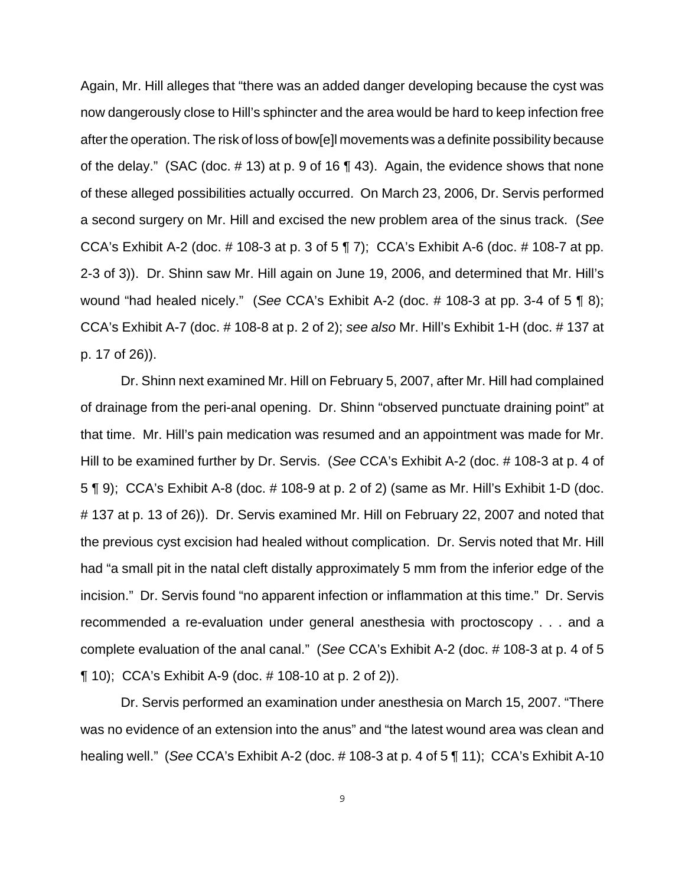Again, Mr. Hill alleges that "there was an added danger developing because the cyst was now dangerously close to Hill's sphincter and the area would be hard to keep infection free after the operation. The risk of loss of bow[e]l movements was a definite possibility because of the delay." (SAC (doc. # 13) at p. 9 of 16 ¶ 43). Again, the evidence shows that none of these alleged possibilities actually occurred. On March 23, 2006, Dr. Servis performed a second surgery on Mr. Hill and excised the new problem area of the sinus track. (*See* CCA's Exhibit A-2 (doc. # 108-3 at p. 3 of 5 ¶ 7); CCA's Exhibit A-6 (doc. # 108-7 at pp. 2-3 of 3)). Dr. Shinn saw Mr. Hill again on June 19, 2006, and determined that Mr. Hill's wound "had healed nicely." (*See* CCA's Exhibit A-2 (doc. # 108-3 at pp. 3-4 of 5 ¶ 8); CCA's Exhibit A-7 (doc. # 108-8 at p. 2 of 2); *see also* Mr. Hill's Exhibit 1-H (doc. # 137 at p. 17 of 26)).

Dr. Shinn next examined Mr. Hill on February 5, 2007, after Mr. Hill had complained of drainage from the peri-anal opening. Dr. Shinn "observed punctuate draining point" at that time. Mr. Hill's pain medication was resumed and an appointment was made for Mr. Hill to be examined further by Dr. Servis. (*See* CCA's Exhibit A-2 (doc. # 108-3 at p. 4 of 5 ¶ 9); CCA's Exhibit A-8 (doc. # 108-9 at p. 2 of 2) (same as Mr. Hill's Exhibit 1-D (doc. # 137 at p. 13 of 26)). Dr. Servis examined Mr. Hill on February 22, 2007 and noted that the previous cyst excision had healed without complication. Dr. Servis noted that Mr. Hill had "a small pit in the natal cleft distally approximately 5 mm from the inferior edge of the incision." Dr. Servis found "no apparent infection or inflammation at this time." Dr. Servis recommended a re-evaluation under general anesthesia with proctoscopy . . . and a complete evaluation of the anal canal." (*See* CCA's Exhibit A-2 (doc. # 108-3 at p. 4 of 5 ¶ 10); CCA's Exhibit A-9 (doc. # 108-10 at p. 2 of 2)).

Dr. Servis performed an examination under anesthesia on March 15, 2007. "There was no evidence of an extension into the anus" and "the latest wound area was clean and healing well." (*See* CCA's Exhibit A-2 (doc. # 108-3 at p. 4 of 5 ¶ 11); CCA's Exhibit A-10

9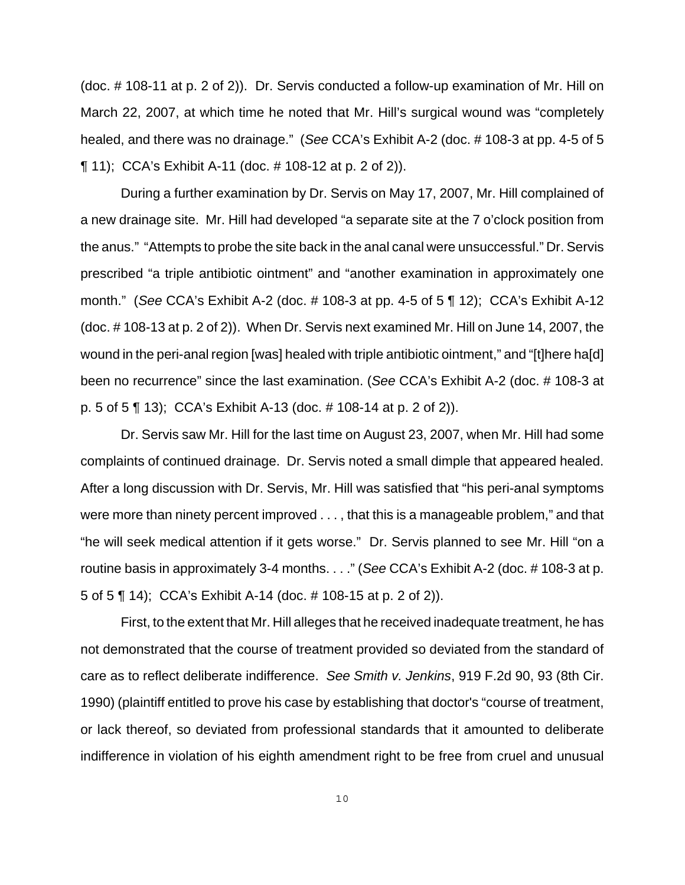(doc. # 108-11 at p. 2 of 2)). Dr. Servis conducted a follow-up examination of Mr. Hill on March 22, 2007, at which time he noted that Mr. Hill's surgical wound was "completely healed, and there was no drainage." (*See* CCA's Exhibit A-2 (doc. # 108-3 at pp. 4-5 of 5 ¶ 11); CCA's Exhibit A-11 (doc. # 108-12 at p. 2 of 2)).

During a further examination by Dr. Servis on May 17, 2007, Mr. Hill complained of a new drainage site. Mr. Hill had developed "a separate site at the 7 o'clock position from the anus." "Attempts to probe the site back in the anal canal were unsuccessful." Dr. Servis prescribed "a triple antibiotic ointment" and "another examination in approximately one month." (*See* CCA's Exhibit A-2 (doc. # 108-3 at pp. 4-5 of 5 ¶ 12); CCA's Exhibit A-12 (doc. # 108-13 at p. 2 of 2)). When Dr. Servis next examined Mr. Hill on June 14, 2007, the wound in the peri-anal region [was] healed with triple antibiotic ointment," and "[t]here ha[d] been no recurrence" since the last examination. (*See* CCA's Exhibit A-2 (doc. # 108-3 at p. 5 of 5 ¶ 13); CCA's Exhibit A-13 (doc. # 108-14 at p. 2 of 2)).

Dr. Servis saw Mr. Hill for the last time on August 23, 2007, when Mr. Hill had some complaints of continued drainage. Dr. Servis noted a small dimple that appeared healed. After a long discussion with Dr. Servis, Mr. Hill was satisfied that "his peri-anal symptoms were more than ninety percent improved . . . , that this is a manageable problem," and that "he will seek medical attention if it gets worse." Dr. Servis planned to see Mr. Hill "on a routine basis in approximately 3-4 months. . . ." (*See* CCA's Exhibit A-2 (doc. # 108-3 at p. 5 of 5 ¶ 14); CCA's Exhibit A-14 (doc. # 108-15 at p. 2 of 2)).

First, to the extent that Mr. Hill alleges that he received inadequate treatment, he has not demonstrated that the course of treatment provided so deviated from the standard of care as to reflect deliberate indifference. *See Smith v. Jenkins*, 919 F.2d 90, 93 (8th Cir. 1990) (plaintiff entitled to prove his case by establishing that doctor's "course of treatment, or lack thereof, so deviated from professional standards that it amounted to deliberate indifference in violation of his eighth amendment right to be free from cruel and unusual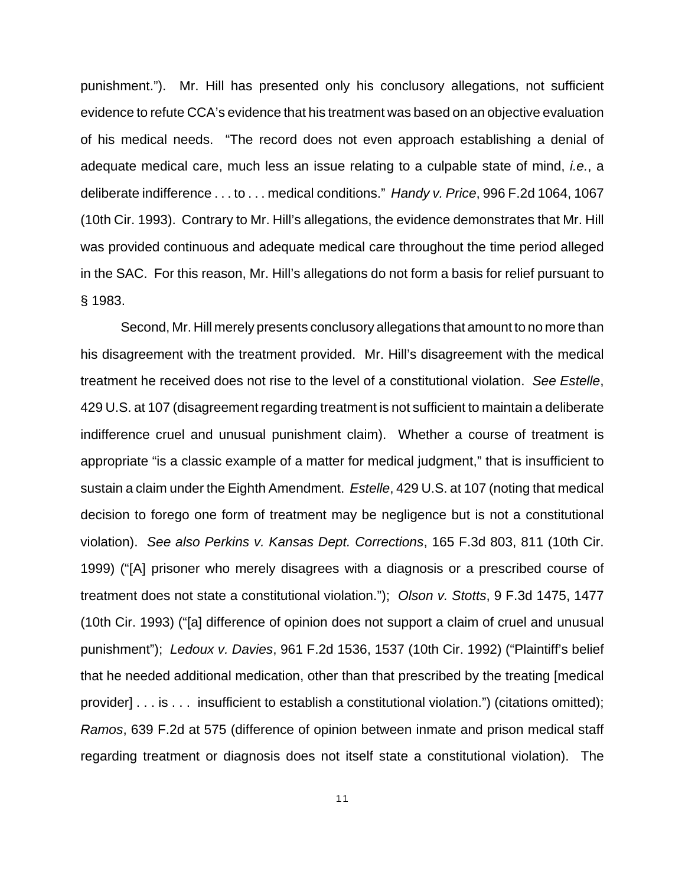punishment."). Mr. Hill has presented only his conclusory allegations, not sufficient evidence to refute CCA's evidence that his treatment was based on an objective evaluation of his medical needs. "The record does not even approach establishing a denial of adequate medical care, much less an issue relating to a culpable state of mind, *i.e.*, a deliberate indifference . . . to . . . medical conditions." *Handy v. Price*, 996 F.2d 1064, 1067 (10th Cir. 1993). Contrary to Mr. Hill's allegations, the evidence demonstrates that Mr. Hill was provided continuous and adequate medical care throughout the time period alleged in the SAC. For this reason, Mr. Hill's allegations do not form a basis for relief pursuant to § 1983.

Second, Mr. Hill merely presents conclusory allegations that amount to no more than his disagreement with the treatment provided. Mr. Hill's disagreement with the medical treatment he received does not rise to the level of a constitutional violation. *See Estelle*, 429 U.S. at 107 (disagreement regarding treatment is not sufficient to maintain a deliberate indifference cruel and unusual punishment claim). Whether a course of treatment is appropriate "is a classic example of a matter for medical judgment," that is insufficient to sustain a claim under the Eighth Amendment. *Estelle*, 429 U.S. at 107 (noting that medical decision to forego one form of treatment may be negligence but is not a constitutional violation). *See also Perkins v. Kansas Dept. Corrections*, 165 F.3d 803, 811 (10th Cir. 1999) ("[A] prisoner who merely disagrees with a diagnosis or a prescribed course of treatment does not state a constitutional violation."); *Olson v. Stotts*, 9 F.3d 1475, 1477 (10th Cir. 1993) ("[a] difference of opinion does not support a claim of cruel and unusual punishment"); *Ledoux v. Davies*, 961 F.2d 1536, 1537 (10th Cir. 1992) ("Plaintiff's belief that he needed additional medication, other than that prescribed by the treating [medical provider] . . . is . . . insufficient to establish a constitutional violation.") (citations omitted); *Ramos*, 639 F.2d at 575 (difference of opinion between inmate and prison medical staff regarding treatment or diagnosis does not itself state a constitutional violation). The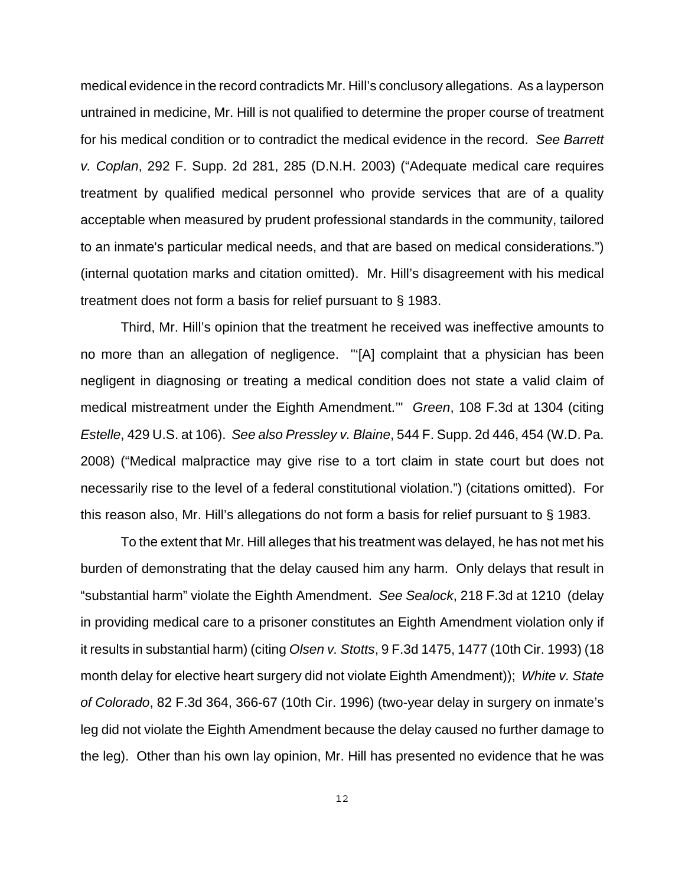medical evidence in the record contradicts Mr. Hill's conclusory allegations. As a layperson untrained in medicine, Mr. Hill is not qualified to determine the proper course of treatment for his medical condition or to contradict the medical evidence in the record. *See Barrett v. Coplan*, 292 F. Supp. 2d 281, 285 (D.N.H. 2003) ("Adequate medical care requires treatment by qualified medical personnel who provide services that are of a quality acceptable when measured by prudent professional standards in the community, tailored to an inmate's particular medical needs, and that are based on medical considerations.") (internal quotation marks and citation omitted). Mr. Hill's disagreement with his medical treatment does not form a basis for relief pursuant to § 1983.

Third, Mr. Hill's opinion that the treatment he received was ineffective amounts to no more than an allegation of negligence. "'[A] complaint that a physician has been negligent in diagnosing or treating a medical condition does not state a valid claim of medical mistreatment under the Eighth Amendment.'" *Green*, 108 F.3d at 1304 (citing *Estelle*, 429 U.S. at 106). *See also Pressley v. Blaine*, 544 F. Supp. 2d 446, 454 (W.D. Pa. 2008) ("Medical malpractice may give rise to a tort claim in state court but does not necessarily rise to the level of a federal constitutional violation.") (citations omitted). For this reason also, Mr. Hill's allegations do not form a basis for relief pursuant to § 1983.

To the extent that Mr. Hill alleges that his treatment was delayed, he has not met his burden of demonstrating that the delay caused him any harm. Only delays that result in "substantial harm" violate the Eighth Amendment. *See Sealock*, 218 F.3d at 1210 (delay in providing medical care to a prisoner constitutes an Eighth Amendment violation only if it results in substantial harm) (citing *Olsen v. Stotts*, 9 F.3d 1475, 1477 (10th Cir. 1993) (18 month delay for elective heart surgery did not violate Eighth Amendment)); *White v. State of Colorado*, 82 F.3d 364, 366-67 (10th Cir. 1996) (two-year delay in surgery on inmate's leg did not violate the Eighth Amendment because the delay caused no further damage to the leg). Other than his own lay opinion, Mr. Hill has presented no evidence that he was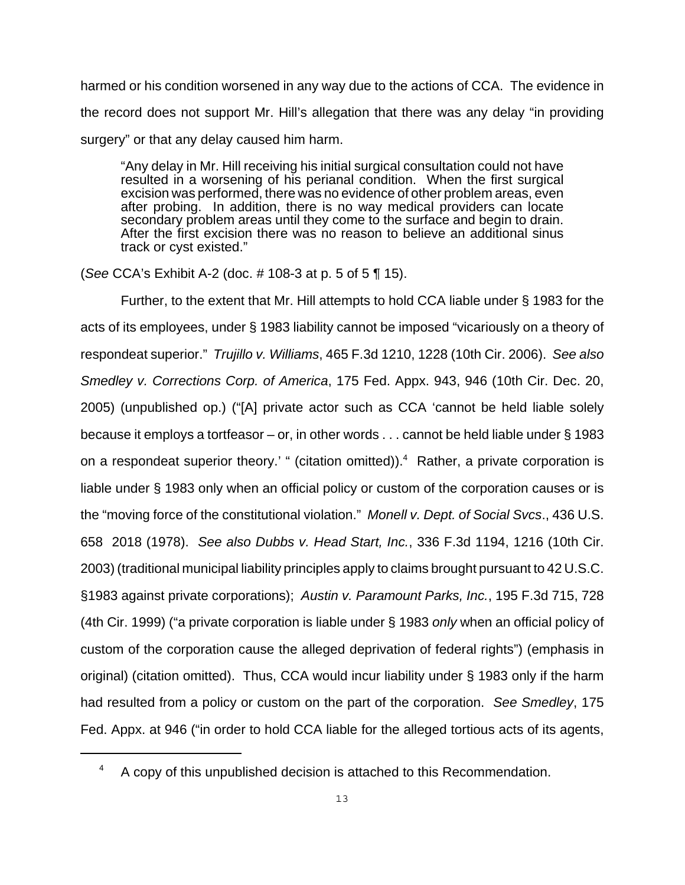harmed or his condition worsened in any way due to the actions of CCA. The evidence in the record does not support Mr. Hill's allegation that there was any delay "in providing surgery" or that any delay caused him harm.

"Any delay in Mr. Hill receiving his initial surgical consultation could not have resulted in a worsening of his perianal condition. When the first surgical excision was performed, there was no evidence of other problem areas, even after probing. In addition, there is no way medical providers can locate secondary problem areas until they come to the surface and begin to drain. After the first excision there was no reason to believe an additional sinus track or cyst existed."

(*See* CCA's Exhibit A-2 (doc. # 108-3 at p. 5 of 5 ¶ 15).

Further, to the extent that Mr. Hill attempts to hold CCA liable under § 1983 for the acts of its employees, under § 1983 liability cannot be imposed "vicariously on a theory of respondeat superior." *Trujillo v. Williams*, 465 F.3d 1210, 1228 (10th Cir. 2006). *See also Smedley v. Corrections Corp. of America*, 175 Fed. Appx. 943, 946 (10th Cir. Dec. 20, 2005) (unpublished op.) ("[A] private actor such as CCA 'cannot be held liable solely because it employs a tortfeasor – or, in other words . . . cannot be held liable under § 1983 on a respondeat superior theory.' " (citation omitted)).<sup>4</sup> Rather, a private corporation is liable under § 1983 only when an official policy or custom of the corporation causes or is the "moving force of the constitutional violation." *Monell v. Dept. of Social Svcs*., 436 U.S. 658 2018 (1978). *See also Dubbs v. Head Start, Inc.*, 336 F.3d 1194, 1216 (10th Cir. 2003) (traditional municipal liability principles apply to claims brought pursuant to 42 U.S.C. §1983 against private corporations); *Austin v. Paramount Parks, Inc.*, 195 F.3d 715, 728 (4th Cir. 1999) ("a private corporation is liable under § 1983 *only* when an official policy of custom of the corporation cause the alleged deprivation of federal rights") (emphasis in original) (citation omitted). Thus, CCA would incur liability under § 1983 only if the harm had resulted from a policy or custom on the part of the corporation. *See Smedley*, 175 Fed. Appx. at 946 ("in order to hold CCA liable for the alleged tortious acts of its agents,

<sup>&</sup>lt;sup>4</sup> A copy of this unpublished decision is attached to this Recommendation.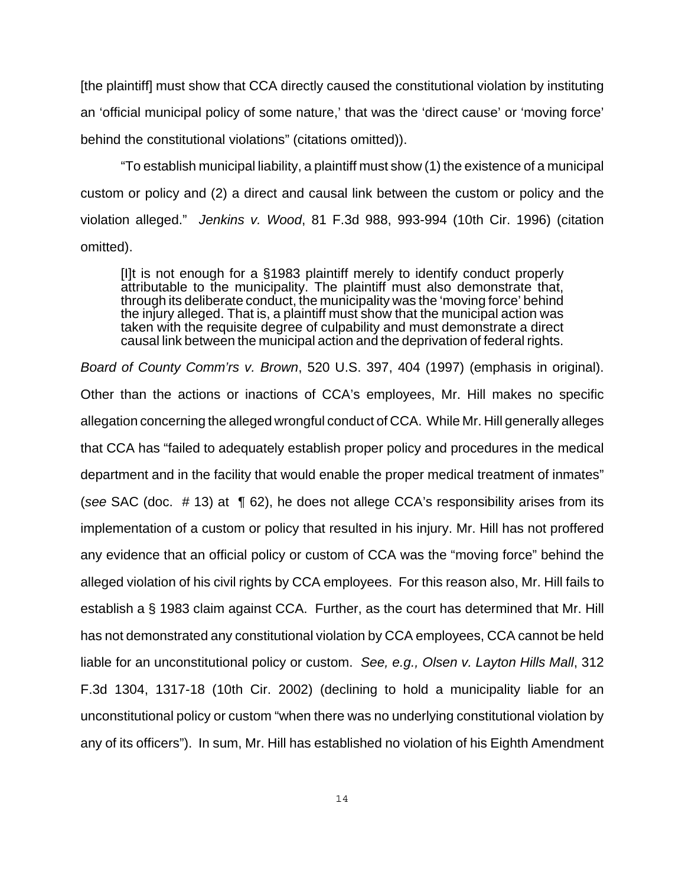[the plaintiff] must show that CCA directly caused the constitutional violation by instituting an 'official municipal policy of some nature,' that was the 'direct cause' or 'moving force' behind the constitutional violations" (citations omitted)).

"To establish municipal liability, a plaintiff must show (1) the existence of a municipal custom or policy and (2) a direct and causal link between the custom or policy and the violation alleged." *Jenkins v. Wood*, 81 F.3d 988, 993-994 (10th Cir. 1996) (citation omitted).

[I]t is not enough for a §1983 plaintiff merely to identify conduct properly attributable to the municipality. The plaintiff must also demonstrate that, through its deliberate conduct, the municipality was the 'moving force' behind the injury alleged. That is, a plaintiff must show that the municipal action was taken with the requisite degree of culpability and must demonstrate a direct causal link between the municipal action and the deprivation of federal rights.

*Board of County Comm'rs v. Brown*, 520 U.S. 397, 404 (1997) (emphasis in original). Other than the actions or inactions of CCA's employees, Mr. Hill makes no specific allegation concerning the alleged wrongful conduct of CCA. While Mr. Hill generally alleges that CCA has "failed to adequately establish proper policy and procedures in the medical department and in the facility that would enable the proper medical treatment of inmates" (*see* SAC (doc. # 13) at ¶ 62), he does not allege CCA's responsibility arises from its implementation of a custom or policy that resulted in his injury. Mr. Hill has not proffered any evidence that an official policy or custom of CCA was the "moving force" behind the alleged violation of his civil rights by CCA employees. For this reason also, Mr. Hill fails to establish a § 1983 claim against CCA. Further, as the court has determined that Mr. Hill has not demonstrated any constitutional violation by CCA employees, CCA cannot be held liable for an unconstitutional policy or custom. *See, e.g., Olsen v. Layton Hills Mall*, 312 F.3d 1304, 1317-18 (10th Cir. 2002) (declining to hold a municipality liable for an unconstitutional policy or custom "when there was no underlying constitutional violation by any of its officers"). In sum, Mr. Hill has established no violation of his Eighth Amendment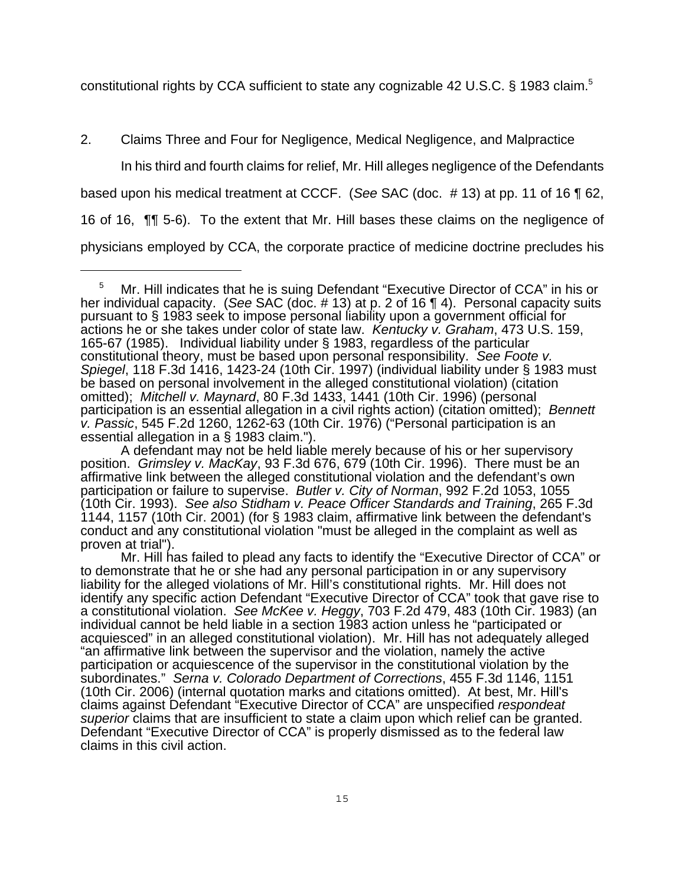constitutional rights by CCA sufficient to state any cognizable 42 U.S.C. § 1983 claim.<sup>5</sup>

# 2. Claims Three and Four for Negligence, Medical Negligence, and Malpractice

In his third and fourth claims for relief, Mr. Hill alleges negligence of the Defendants based upon his medical treatment at CCCF. (*See* SAC (doc. # 13) at pp. 11 of 16 ¶ 62, 16 of 16, ¶¶ 5-6). To the extent that Mr. Hill bases these claims on the negligence of physicians employed by CCA, the corporate practice of medicine doctrine precludes his

A defendant may not be held liable merely because of his or her supervisory position. *Grimsley v. MacKay*, 93 F.3d 676, 679 (10th Cir. 1996). There must be an affirmative link between the alleged constitutional violation and the defendant's own participation or failure to supervise. *Butler v. City of Norman*, 992 F.2d 1053, 1055 (10th Cir. 1993). *See also Stidham v. Peace Officer Standards and Training*, 265 F.3d 1144, 1157 (10th Cir. 2001) (for § 1983 claim, affirmative link between the defendant's conduct and any constitutional violation "must be alleged in the complaint as well as proven at trial").

<sup>5</sup> Mr. Hill indicates that he is suing Defendant "Executive Director of CCA" in his or her individual capacity. (*See* SAC (doc. # 13) at p. 2 of 16 ¶ 4). Personal capacity suits pursuant to § 1983 seek to impose personal liability upon a government official for actions he or she takes under color of state law. *Kentucky v. Graham*, 473 U.S. 159, 165-67 (1985). Individual liability under § 1983, regardless of the particular constitutional theory, must be based upon personal responsibility. *See Foote v. Spiegel*, 118 F.3d 1416, 1423-24 (10th Cir. 1997) (individual liability under § 1983 must be based on personal involvement in the alleged constitutional violation) (citation omitted); *Mitchell v. Maynard*, 80 F.3d 1433, 1441 (10th Cir. 1996) (personal participation is an essential allegation in a civil rights action) (citation omitted); *Bennett v. Passic*, 545 F.2d 1260, 1262-63 (10th Cir. 1976) ("Personal participation is an essential allegation in a § 1983 claim.").

Mr. Hill has failed to plead any facts to identify the "Executive Director of CCA" or to demonstrate that he or she had any personal participation in or any supervisory liability for the alleged violations of Mr. Hill's constitutional rights. Mr. Hill does not identify any specific action Defendant "Executive Director of CCA" took that gave rise to a constitutional violation. *See McKee v. Heggy*, 703 F.2d 479, 483 (10th Cir. 1983) (an individual cannot be held liable in a section 1983 action unless he "participated or acquiesced" in an alleged constitutional violation). Mr. Hill has not adequately alleged "an affirmative link between the supervisor and the violation, namely the active participation or acquiescence of the supervisor in the constitutional violation by the subordinates." *Serna v. Colorado Department of Corrections*, 455 F.3d 1146, 1151 (10th Cir. 2006) (internal quotation marks and citations omitted). At best, Mr. Hill's claims against Defendant "Executive Director of CCA" are unspecified *respondeat superior* claims that are insufficient to state a claim upon which relief can be granted. Defendant "Executive Director of CCA" is properly dismissed as to the federal law claims in this civil action.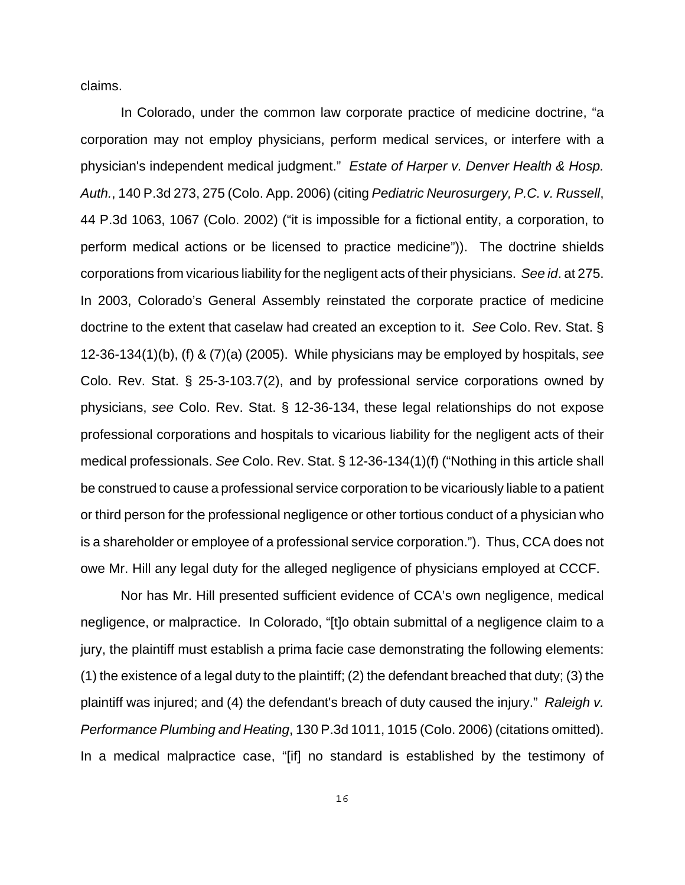claims.

In Colorado, under the common law corporate practice of medicine doctrine, "a corporation may not employ physicians, perform medical services, or interfere with a physician's independent medical judgment." *Estate of Harper v. Denver Health & Hosp. Auth.*, 140 P.3d 273, 275 (Colo. App. 2006) (citing *Pediatric Neurosurgery, P.C. v. Russell*, 44 P.3d 1063, 1067 (Colo. 2002) ("it is impossible for a fictional entity, a corporation, to perform medical actions or be licensed to practice medicine")). The doctrine shields corporations from vicarious liability for the negligent acts of their physicians. *See id*. at 275. In 2003, Colorado's General Assembly reinstated the corporate practice of medicine doctrine to the extent that caselaw had created an exception to it. *See* Colo. Rev. Stat. § 12-36-134(1)(b), (f) & (7)(a) (2005). While physicians may be employed by hospitals, *see* Colo. Rev. Stat. § 25-3-103.7(2), and by professional service corporations owned by physicians, *see* Colo. Rev. Stat. § 12-36-134, these legal relationships do not expose professional corporations and hospitals to vicarious liability for the negligent acts of their medical professionals. *See* Colo. Rev. Stat. § 12-36-134(1)(f) ("Nothing in this article shall be construed to cause a professional service corporation to be vicariously liable to a patient or third person for the professional negligence or other tortious conduct of a physician who is a shareholder or employee of a professional service corporation."). Thus, CCA does not owe Mr. Hill any legal duty for the alleged negligence of physicians employed at CCCF.

Nor has Mr. Hill presented sufficient evidence of CCA's own negligence, medical negligence, or malpractice. In Colorado, "[t]o obtain submittal of a negligence claim to a jury, the plaintiff must establish a prima facie case demonstrating the following elements: (1) the existence of a legal duty to the plaintiff; (2) the defendant breached that duty; (3) the plaintiff was injured; and (4) the defendant's breach of duty caused the injury." *Raleigh v. Performance Plumbing and Heating*, 130 P.3d 1011, 1015 (Colo. 2006) (citations omitted). In a medical malpractice case, "[if] no standard is established by the testimony of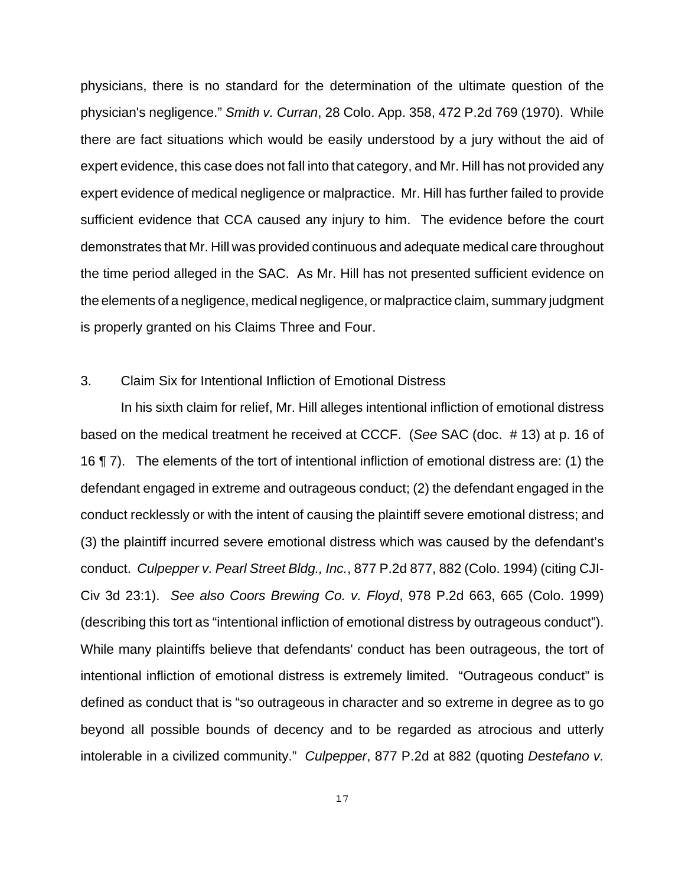physicians, there is no standard for the determination of the ultimate question of the physician's negligence." *Smith v. Curran*, 28 Colo. App. 358, 472 P.2d 769 (1970). While there are fact situations which would be easily understood by a jury without the aid of expert evidence, this case does not fall into that category, and Mr. Hill has not provided any expert evidence of medical negligence or malpractice. Mr. Hill has further failed to provide sufficient evidence that CCA caused any injury to him. The evidence before the court demonstrates that Mr. Hill was provided continuous and adequate medical care throughout the time period alleged in the SAC. As Mr. Hill has not presented sufficient evidence on the elements of a negligence, medical negligence, or malpractice claim, summary judgment is properly granted on his Claims Three and Four.

## 3. Claim Six for Intentional Infliction of Emotional Distress

In his sixth claim for relief, Mr. Hill alleges intentional infliction of emotional distress based on the medical treatment he received at CCCF. (*See* SAC (doc. # 13) at p. 16 of 16 ¶ 7). The elements of the tort of intentional infliction of emotional distress are: (1) the defendant engaged in extreme and outrageous conduct; (2) the defendant engaged in the conduct recklessly or with the intent of causing the plaintiff severe emotional distress; and (3) the plaintiff incurred severe emotional distress which was caused by the defendant's conduct. *Culpepper v. Pearl Street Bldg., Inc.*, 877 P.2d 877, 882 (Colo. 1994) (citing CJI-Civ 3d 23:1). *See also Coors Brewing Co. v. Floyd*, 978 P.2d 663, 665 (Colo. 1999) (describing this tort as "intentional infliction of emotional distress by outrageous conduct"). While many plaintiffs believe that defendants' conduct has been outrageous, the tort of intentional infliction of emotional distress is extremely limited. "Outrageous conduct" is defined as conduct that is "so outrageous in character and so extreme in degree as to go beyond all possible bounds of decency and to be regarded as atrocious and utterly intolerable in a civilized community." *Culpepper*, 877 P.2d at 882 (quoting *Destefano v.*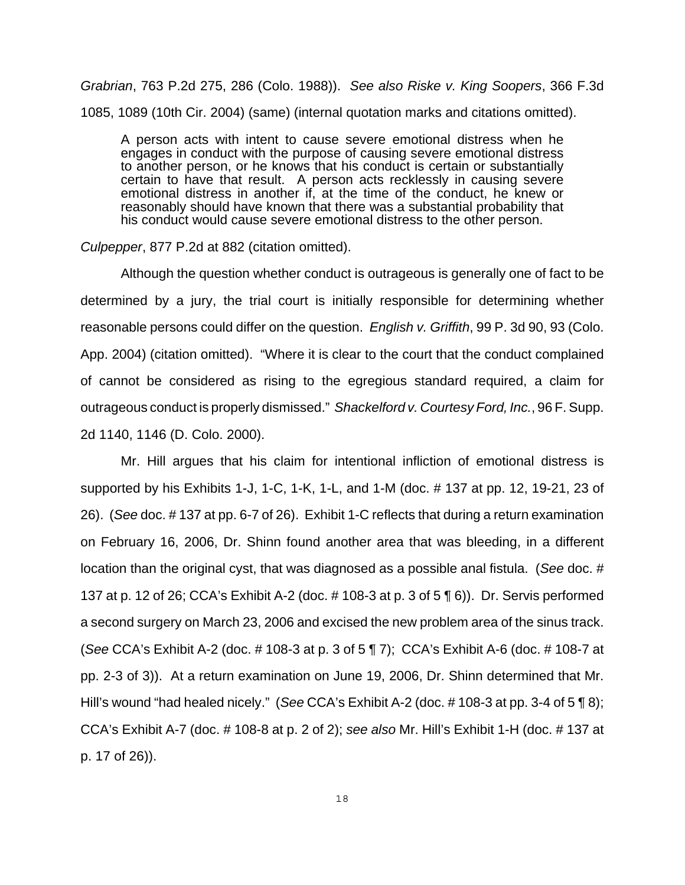*Grabrian*, 763 P.2d 275, 286 (Colo. 1988)). *See also Riske v. King Soopers*, 366 F.3d 1085, 1089 (10th Cir. 2004) (same) (internal quotation marks and citations omitted).

A person acts with intent to cause severe emotional distress when he engages in conduct with the purpose of causing severe emotional distress to another person, or he knows that his conduct is certain or substantially certain to have that result. A person acts recklessly in causing severe emotional distress in another if, at the time of the conduct, he knew or reasonably should have known that there was a substantial probability that his conduct would cause severe emotional distress to the other person.

### *Culpepper*, 877 P.2d at 882 (citation omitted).

Although the question whether conduct is outrageous is generally one of fact to be determined by a jury, the trial court is initially responsible for determining whether reasonable persons could differ on the question. *English v. Griffith*, 99 P. 3d 90, 93 (Colo. App. 2004) (citation omitted). "Where it is clear to the court that the conduct complained of cannot be considered as rising to the egregious standard required, a claim for outrageous conduct is properly dismissed." *Shackelford v. Courtesy Ford, Inc.*, 96 F. Supp. 2d 1140, 1146 (D. Colo. 2000).

Mr. Hill argues that his claim for intentional infliction of emotional distress is supported by his Exhibits 1-J, 1-C, 1-K, 1-L, and 1-M (doc. # 137 at pp. 12, 19-21, 23 of 26). (*See* doc. # 137 at pp. 6-7 of 26). Exhibit 1-C reflects that during a return examination on February 16, 2006, Dr. Shinn found another area that was bleeding, in a different location than the original cyst, that was diagnosed as a possible anal fistula. (*See* doc. # 137 at p. 12 of 26; CCA's Exhibit A-2 (doc. # 108-3 at p. 3 of 5 ¶ 6)). Dr. Servis performed a second surgery on March 23, 2006 and excised the new problem area of the sinus track. (*See* CCA's Exhibit A-2 (doc. # 108-3 at p. 3 of 5 ¶ 7); CCA's Exhibit A-6 (doc. # 108-7 at pp. 2-3 of 3)). At a return examination on June 19, 2006, Dr. Shinn determined that Mr. Hill's wound "had healed nicely." (*See* CCA's Exhibit A-2 (doc. # 108-3 at pp. 3-4 of 5 ¶ 8); CCA's Exhibit A-7 (doc. # 108-8 at p. 2 of 2); *see also* Mr. Hill's Exhibit 1-H (doc. # 137 at p. 17 of 26)).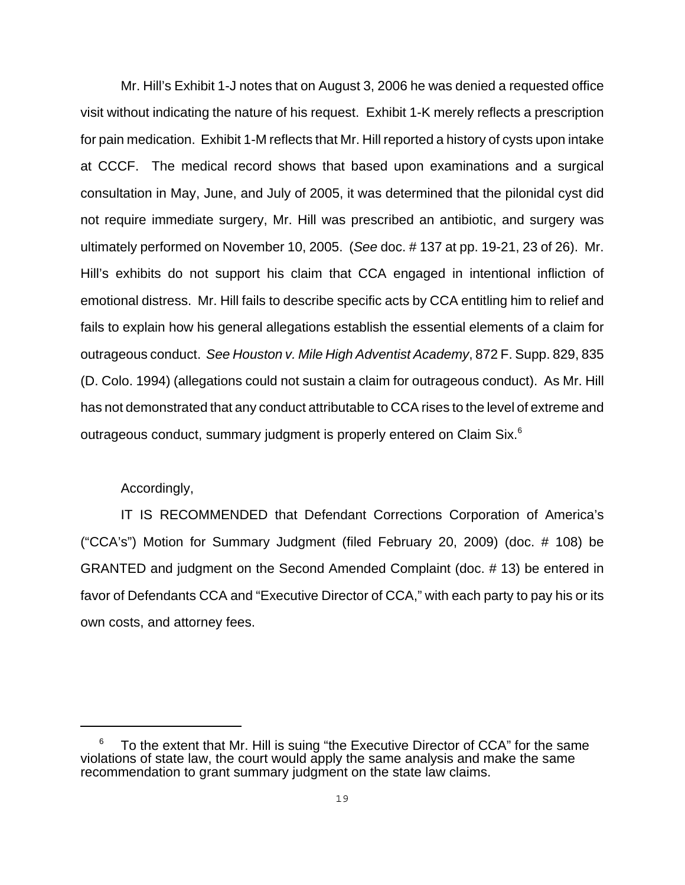Mr. Hill's Exhibit 1-J notes that on August 3, 2006 he was denied a requested office visit without indicating the nature of his request. Exhibit 1-K merely reflects a prescription for pain medication. Exhibit 1-M reflects that Mr. Hill reported a history of cysts upon intake at CCCF. The medical record shows that based upon examinations and a surgical consultation in May, June, and July of 2005, it was determined that the pilonidal cyst did not require immediate surgery, Mr. Hill was prescribed an antibiotic, and surgery was ultimately performed on November 10, 2005. (*See* doc. # 137 at pp. 19-21, 23 of 26). Mr. Hill's exhibits do not support his claim that CCA engaged in intentional infliction of emotional distress. Mr. Hill fails to describe specific acts by CCA entitling him to relief and fails to explain how his general allegations establish the essential elements of a claim for outrageous conduct. *See Houston v. Mile High Adventist Academy*, 872 F. Supp. 829, 835 (D. Colo. 1994) (allegations could not sustain a claim for outrageous conduct). As Mr. Hill has not demonstrated that any conduct attributable to CCA rises to the level of extreme and outrageous conduct, summary judgment is properly entered on Claim Six. $6$ 

### Accordingly,

IT IS RECOMMENDED that Defendant Corrections Corporation of America's ("CCA's") Motion for Summary Judgment (filed February 20, 2009) (doc. # 108) be GRANTED and judgment on the Second Amended Complaint (doc. # 13) be entered in favor of Defendants CCA and "Executive Director of CCA," with each party to pay his or its own costs, and attorney fees.

 $6$  To the extent that Mr. Hill is suing "the Executive Director of CCA" for the same violations of state law, the court would apply the same analysis and make the same recommendation to grant summary judgment on the state law claims.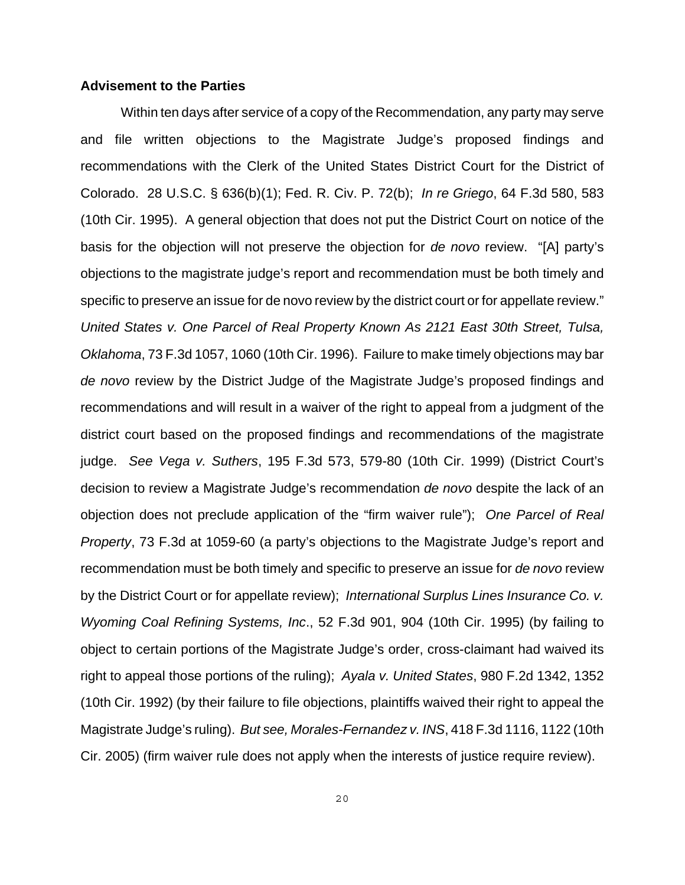#### **Advisement to the Parties**

Within ten days after service of a copy of the Recommendation, any party may serve and file written objections to the Magistrate Judge's proposed findings and recommendations with the Clerk of the United States District Court for the District of Colorado. 28 U.S.C. § 636(b)(1); Fed. R. Civ. P. 72(b); *In re Griego*, 64 F.3d 580, 583 (10th Cir. 1995). A general objection that does not put the District Court on notice of the basis for the objection will not preserve the objection for *de novo* review. "[A] party's objections to the magistrate judge's report and recommendation must be both timely and specific to preserve an issue for de novo review by the district court or for appellate review." *United States v. One Parcel of Real Property Known As 2121 East 30th Street, Tulsa, Oklahoma*, 73 F.3d 1057, 1060 (10th Cir. 1996). Failure to make timely objections may bar *de novo* review by the District Judge of the Magistrate Judge's proposed findings and recommendations and will result in a waiver of the right to appeal from a judgment of the district court based on the proposed findings and recommendations of the magistrate judge. *See Vega v. Suthers*, 195 F.3d 573, 579-80 (10th Cir. 1999) (District Court's decision to review a Magistrate Judge's recommendation *de novo* despite the lack of an objection does not preclude application of the "firm waiver rule"); *One Parcel of Real Property*, 73 F.3d at 1059-60 (a party's objections to the Magistrate Judge's report and recommendation must be both timely and specific to preserve an issue for *de novo* review by the District Court or for appellate review); *International Surplus Lines Insurance Co. v. Wyoming Coal Refining Systems, Inc*., 52 F.3d 901, 904 (10th Cir. 1995) (by failing to object to certain portions of the Magistrate Judge's order, cross-claimant had waived its right to appeal those portions of the ruling); *Ayala v. United States*, 980 F.2d 1342, 1352 (10th Cir. 1992) (by their failure to file objections, plaintiffs waived their right to appeal the Magistrate Judge's ruling). *But see, Morales-Fernandez v. INS*, 418 F.3d 1116, 1122 (10th Cir. 2005) (firm waiver rule does not apply when the interests of justice require review).